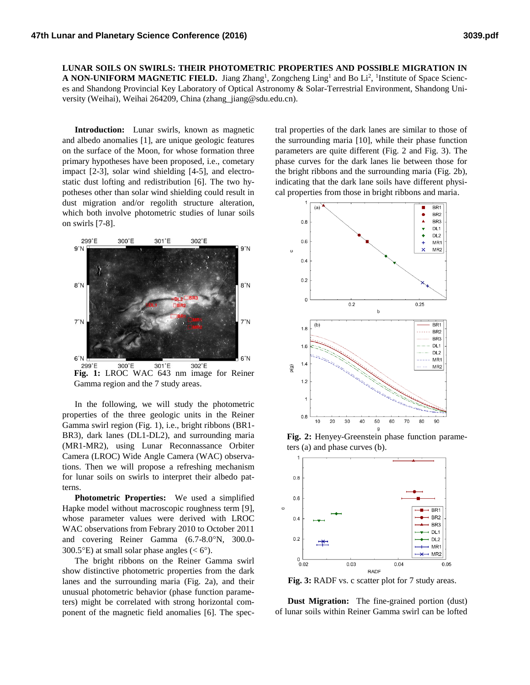**LUNAR SOILS ON SWIRLS: THEIR PHOTOMETRIC PROPERTIES AND POSSIBLE MIGRATION IN A NON-UNIFORM MAGNETIC FIELD.** Jiang Zhang<sup>1</sup>, Zongcheng Ling<sup>1</sup> and Bo Li<sup>2</sup>, <sup>1</sup>Institute of Space Sciences and Shandong Provincial Key Laboratory of Optical Astronomy & Solar-Terrestrial Environment, Shandong University (Weihai), Weihai 264209, China (zhang\_jiang@sdu.edu.cn).

**Introduction:** Lunar swirls, known as magnetic and albedo anomalies [1], are unique geologic features on the surface of the Moon, for whose formation three primary hypotheses have been proposed, i.e., cometary impact [2-3], solar wind shielding [4-5], and electrostatic dust lofting and redistribution [6]. The two hypotheses other than solar wind shielding could result in dust migration and/or regolith structure alteration, which both involve photometric studies of lunar soils on swirls [7-8].



**Fig. 1:** LROC WAC 643 nm image for Reiner Gamma region and the 7 study areas.

In the following, we will study the photometric properties of the three geologic units in the Reiner Gamma swirl region (Fig. 1), i.e., bright ribbons (BR1- BR3), dark lanes (DL1-DL2), and surrounding maria (MR1-MR2), using Lunar Reconnassance Orbiter Camera (LROC) Wide Angle Camera (WAC) observations. Then we will propose a refreshing mechanism for lunar soils on swirls to interpret their albedo patterns.

**Photometric Properties:** We used a simplified Hapke model without macroscopic roughness term [9], whose parameter values were derived with LROC WAC observations from Febrary 2010 to October 2011 and covering Reiner Gamma (6.7-8.0°N, 300.0-300.5 $\textdegree$ E) at small solar phase angles (< 6 $\textdegree$ ).

The bright ribbons on the Reiner Gamma swirl show distinctive photometric properties from the dark lanes and the surrounding maria (Fig. 2a), and their unusual photometric behavior (phase function parameters) might be correlated with strong horizontal component of the magnetic field anomalies [6]. The spec-

tral properties of the dark lanes are similar to those of the surrounding maria [10], while their phase function parameters are quite different (Fig. 2 and Fig. 3). The phase curves for the dark lanes lie between those for the bright ribbons and the surrounding maria (Fig. 2b), indicating that the dark lane soils have different physical properties from those in bright ribbons and maria.



**Fig. 2:** Henyey-Greenstein phase function parameters (a) and phase curves (b).



**Fig. 3:** RADF vs. c scatter plot for 7 study areas.

**Dust Migration:** The fine-grained portion (dust) of lunar soils within Reiner Gamma swirl can be lofted